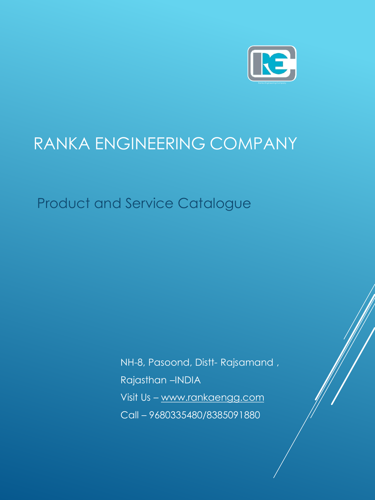

# RANKA ENGINEERING COMPANY

Product and Service Catalogue

NH-8, Pasoond, Distt- Rajsamand , Rajasthan –INDIA Visit Us – [www.rankaengg.com](http://www.rankaengg.com/) Call – 9680335480/8385091880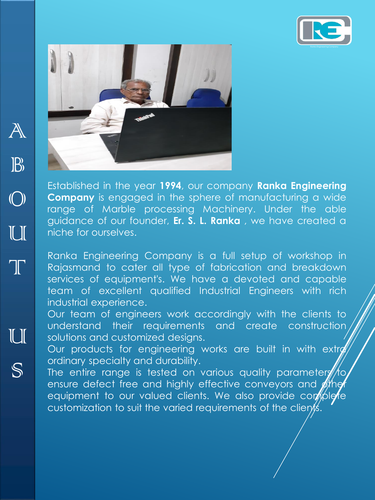



Established in the year **1994**, our company **Ranka Engineering Company** is engaged in the sphere of manufacturing a wide range of Marble processing Machinery. Under the able guidance of our founder, **Er. S. L. Ranka** , we have created a niche for ourselves.

Ranka Engineering Company is a full setup of workshop in Rajasmand to cater all type of fabrication and breakdown services of equipment's. We have a devoted and capable team of excellent qualified Industrial Engineers with rich industrial experience.

Our team of engineers work accordingly with the clients to understand their requirements and create construction solutions and customized designs.

Our products for engineering works are built in with extra ordinary specialty and durability.

The entire range is tested on various quality parameters  $\#$ ensure defect free and highly effective conveyors and  $\cancel{\mathcal{E}}$ the equipment to our valued clients. We also provide complete customization to suit the varied requirements of the clients.

S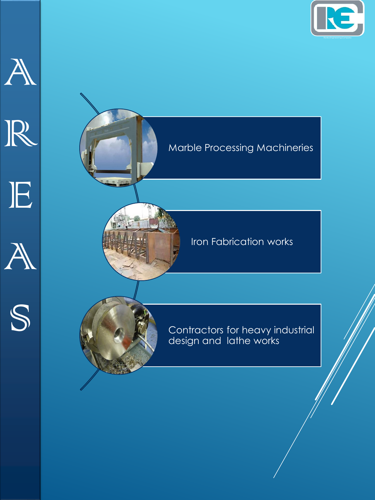











### Iron Fabrication works



Contractors for heavy industrial design and lathe works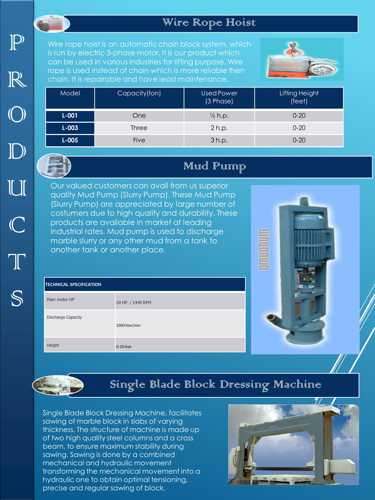### Wire Rope Hoist

 $P$ R O  $\mathbb{D}$ U C T

S

Wire rope hoist is an automatic chain block system, which is run by electric 3-phase motor. It is our product which can be used in various industries for lifting purpose. Wire rope is used instead of chain which is more reliable then chain. It is repairable and have least maintenance.



| Model     | Capacity(ton) | Used Power<br>(3 Phase) | Lifting Height<br>(feet) |
|-----------|---------------|-------------------------|--------------------------|
| $L - 001$ | <b>One</b>    | $\frac{1}{2}$ h.p.      | $0 - 20$                 |
| $L - 003$ | <b>Three</b>  | 2 h.p.                  | $0 - 20$                 |
| $L - 005$ | Five          | 3 h.p.                  | $0 - 20$                 |

### Mud Pump

Our valued customers can avail from us superior quality Mud Pump (Slurry Pump). These Mud Pump (Slurry Pump) are appreciated by large number of costumers due to high quality and durability. These products are available in market at leading industrial rates. Mud pump is used to discharge marble slurry or any other mud from a tank to another tank or another place.

| <b>TECHNICAL SPECIFICATION</b> |                   |  |
|--------------------------------|-------------------|--|
| Main motor HP                  | 20 HP. / 1440 RPM |  |
| <b>Discharge Capacity</b>      | 1000 liter/min    |  |
| Height                         | 0-20 feet         |  |



## Single Blade Block Dressing Machine

Single Blade Block Dressing Machine, facilitates sawing of marble block in slabs of varying thickness. The structure of machine is made up of two high quality steel columns and a cross beam, to ensure maximum stability during sawing. Sawing is done by a combined mechanical and hydraulic movement transforming the mechanical movement into a hydraulic one to obtain optimal tensioning, precise and regular sawing of block.

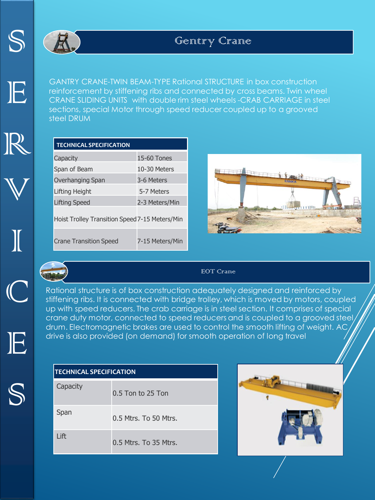

E

R

V

I

C

E

S



GANTRY CRANE-TWIN BEAM-TYPE Rational STRUCTURE in box construction reinforcement by stiffening ribs and connected by cross beams. Twin wheel CRANE SLIDING UNITS with double rim steel wheels -CRAB CARRIAGE in steel sections, special Motor through speed reducer coupled up to a grooved steel DRUM

| <b>TECHNICAL SPECIFICATION</b>                 |                 |
|------------------------------------------------|-----------------|
| Capacity                                       | 15-60 Tones     |
| Span of Beam                                   | 10-30 Meters    |
| Overhanging Span                               | 3-6 Meters      |
| Lifting Height                                 | 5-7 Meters      |
| <b>Lifting Speed</b>                           | 2-3 Meters/Min  |
| Hoist Trolley Transition Speed 7-15 Meters/Min |                 |
| <b>Crane Transition Speed</b>                  | 7-15 Meters/Min |





#### EOT Crane

Rational structure is of box construction adequately designed and reinforced by stiffening ribs. It is connected with bridge trolley, which is moved by motors, coupled up with speed reducers. The crab carriage is in steel section. It comprises of special crane duty motor, connected to speed reducers and is coupled to a grooved steel drum. Electromagnetic brakes are used to control the smooth lifting of weight. AC drive is also provided (on demand) for smooth operation of long travel

| <b>TECHNICAL SPECIFICATION</b> |                       |  |
|--------------------------------|-----------------------|--|
| Capacity                       | $0.5$ Ton to 25 Ton   |  |
| Span                           | 0.5 Mtrs. To 50 Mtrs. |  |
| Lift                           | 0.5 Mtrs. To 35 Mtrs. |  |

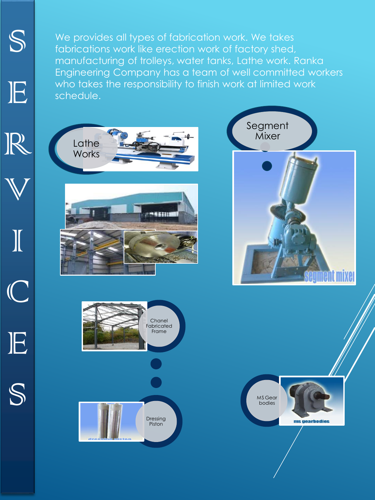We provides all types of fabrication work. We takes fabrications work like erection work of factory shed, manufacturing of trolleys, water tanks, Lathe work. Ranka Engineering Company has a team of well committed workers who takes the responsibility to finish work at limited work schedule.

S

E